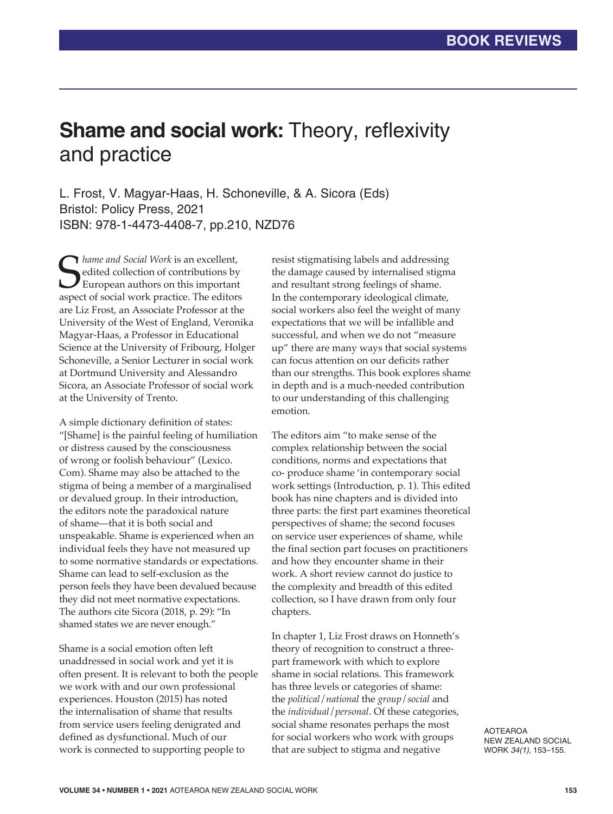## **Shame and social work: Theory, reflexivity** and practice

L. Frost, V. Magyar-Haas, H. Schoneville, & A. Sicora (Eds) Bristol: Policy Press, 2021 ISBN: 978-1-4473-4408-7, pp.210, NZD76

Shame and Social Work is an excellent,<br>edited collection of contributions by<br>European authors on this important<br>aspect of social work practice. The editors *hame and Social Work* is an excellent, edited collection of contributions by European authors on this important are Liz Frost, an Associate Professor at the University of the West of England, Veronika Magyar-Haas, a Professor in Educational Science at the University of Fribourg, Holger Schoneville, a Senior Lecturer in social work at Dortmund University and Alessandro Sicora, an Associate Professor of social work at the University of Trento.

A simple dictionary definition of states: "[Shame] is the painful feeling of humiliation or distress caused by the consciousness of wrong or foolish behaviour" (Lexico. Com). Shame may also be attached to the stigma of being a member of a marginalised or devalued group. In their introduction, the editors note the paradoxical nature of shame—that it is both social and unspeakable. Shame is experienced when an individual feels they have not measured up to some normative standards or expectations. Shame can lead to self-exclusion as the person feels they have been devalued because they did not meet normative expectations. The authors cite Sicora (2018, p. 29): "In shamed states we are never enough."

Shame is a social emotion often left unaddressed in social work and yet it is often present. It is relevant to both the people we work with and our own professional experiences. Houston (2015) has noted the internalisation of shame that results from service users feeling denigrated and defined as dysfunctional. Much of our work is connected to supporting people to

resist stigmatising labels and addressing the damage caused by internalised stigma and resultant strong feelings of shame. In the contemporary ideological climate, social workers also feel the weight of many expectations that we will be infallible and successful, and when we do not "measure up" there are many ways that social systems can focus attention on our deficits rather than our strengths. This book explores shame in depth and is a much-needed contribution to our understanding of this challenging emotion.

The editors aim "to make sense of the complex relationship between the social conditions, norms and expectations that co- produce shame 'in contemporary social work settings (Introduction, p. 1). This edited book has nine chapters and is divided into three parts: the first part examines theoretical perspectives of shame; the second focuses on service user experiences of shame, while the final section part focuses on practitioners and how they encounter shame in their work. A short review cannot do justice to the complexity and breadth of this edited collection, so I have drawn from only four chapters.

In chapter 1, Liz Frost draws on Honneth's theory of recognition to construct a threepart framework with which to explore shame in social relations. This framework has three levels or categories of shame: the *political*/*national* the *group*/*social* and the *individual*/*personal*. Of these categories, social shame resonates perhaps the most for social workers who work with groups that are subject to stigma and negative

AOTEAROA NEW ZEALAND SOCIAL WORK *34(1)*, 153–155.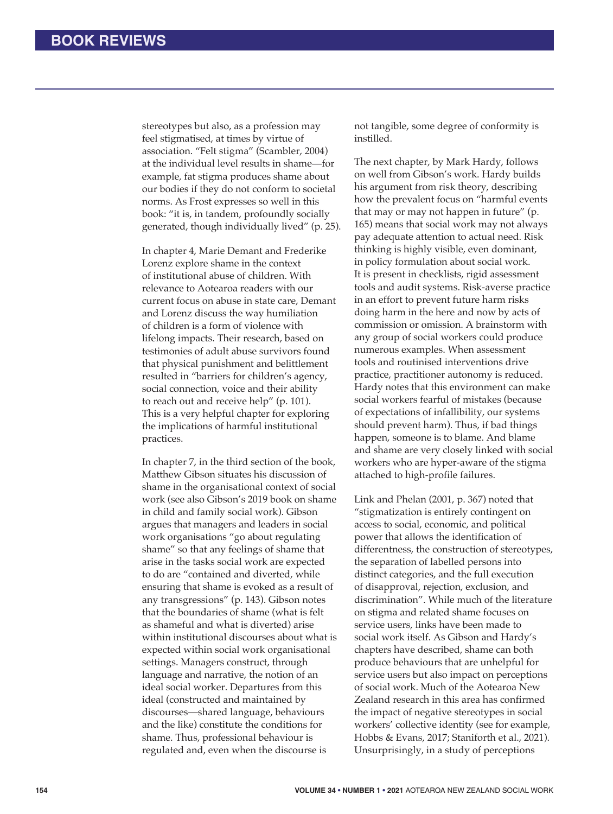stereotypes but also, as a profession may feel stigmatised, at times by virtue of association. "Felt stigma" (Scambler, 2004) at the individual level results in shame—for example, fat stigma produces shame about our bodies if they do not conform to societal norms. As Frost expresses so well in this book: "it is, in tandem, profoundly socially generated, though individually lived" (p. 25).

In chapter 4, Marie Demant and Frederike Lorenz explore shame in the context of institutional abuse of children. With relevance to Aotearoa readers with our current focus on abuse in state care, Demant and Lorenz discuss the way humiliation of children is a form of violence with lifelong impacts. Their research, based on testimonies of adult abuse survivors found that physical punishment and belittlement resulted in "barriers for children's agency, social connection, voice and their ability to reach out and receive help" (p. 101). This is a very helpful chapter for exploring the implications of harmful institutional practices.

In chapter 7, in the third section of the book, Matthew Gibson situates his discussion of shame in the organisational context of social work (see also Gibson's 2019 book on shame in child and family social work). Gibson argues that managers and leaders in social work organisations "go about regulating shame" so that any feelings of shame that arise in the tasks social work are expected to do are "contained and diverted, while ensuring that shame is evoked as a result of any transgressions" (p. 143). Gibson notes that the boundaries of shame (what is felt as shameful and what is diverted) arise within institutional discourses about what is expected within social work organisational settings. Managers construct, through language and narrative, the notion of an ideal social worker. Departures from this ideal (constructed and maintained by discourses—shared language, behaviours and the like) constitute the conditions for shame. Thus, professional behaviour is regulated and, even when the discourse is

not tangible, some degree of conformity is instilled.

The next chapter, by Mark Hardy, follows on well from Gibson's work. Hardy builds his argument from risk theory, describing how the prevalent focus on "harmful events that may or may not happen in future" (p. 165) means that social work may not always pay adequate attention to actual need. Risk thinking is highly visible, even dominant, in policy formulation about social work. It is present in checklists, rigid assessment tools and audit systems. Risk-averse practice in an effort to prevent future harm risks doing harm in the here and now by acts of commission or omission. A brainstorm with any group of social workers could produce numerous examples. When assessment tools and routinised interventions drive practice, practitioner autonomy is reduced. Hardy notes that this environment can make social workers fearful of mistakes (because of expectations of infallibility, our systems should prevent harm). Thus, if bad things happen, someone is to blame. And blame and shame are very closely linked with social workers who are hyper-aware of the stigma attached to high-profile failures.

Link and Phelan (2001, p. 367) noted that "stigmatization is entirely contingent on access to social, economic, and political power that allows the identification of differentness, the construction of stereotypes, the separation of labelled persons into distinct categories, and the full execution of disapproval, rejection, exclusion, and discrimination". While much of the literature on stigma and related shame focuses on service users, links have been made to social work itself. As Gibson and Hardy's chapters have described, shame can both produce behaviours that are unhelpful for service users but also impact on perceptions of social work. Much of the Aotearoa New Zealand research in this area has confirmed the impact of negative stereotypes in social workers' collective identity (see for example, Hobbs & Evans, 2017; Staniforth et al., 2021). Unsurprisingly, in a study of perceptions